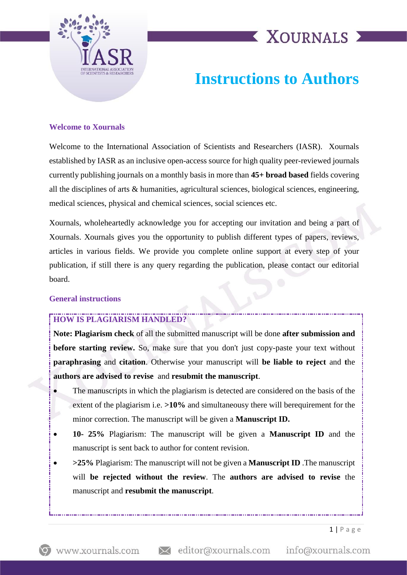

# **XOURNALS X**

### **Instructions to Authors**

#### **Welcome to Xournals**

Welcome to the International Association of Scientists and Researchers (IASR). Xournals established by IASR as an inclusive open-access source for high quality peer-reviewed journals currently publishing journals on a monthly basis in more than **45+ broad based** fields covering all the disciplines of arts & humanities, agricultural sciences, biological sciences, engineering, medical sciences, physical and chemical sciences, social sciences etc.

Xournals, wholeheartedly acknowledge you for accepting our invitation and being a part of Xournals. Xournals gives you the opportunity to publish different types of papers, reviews, articles in various fields. We provide you complete online support at every step of your publication, if still there is any query regarding the publication, please contact our editorial board.

#### **General instructions**

### **HOW IS PLAGIARISM HANDLED?**

**Note: Plagiarism check** of all the submitted manuscript will be done **after submission and before starting review.** So, make sure that you don't just copy-paste your text without **paraphrasing** and **citation**. Otherwise your manuscript will **be liable to reject** and **t**he **authors are advised to revise** and **resubmit the manuscript**.

- The manuscripts in which the plagiarism is detected are considered on the basis of the extent of the plagiarism i.e.  $>10\%$  and simultaneousy there will berequirement for the minor correction. The manuscript will be given a **Manuscript ID.**
- **10- 25%** Plagiarism: The manuscript will be given a **Manuscript ID** and the manuscript is sent back to author for content revision.
- **>25%** Plagiarism: The manuscript will not be given a **Manuscript ID** .The manuscript will **be rejected without the review**. The **authors are advised to revise** the manuscript and **resubmit the manuscript**.

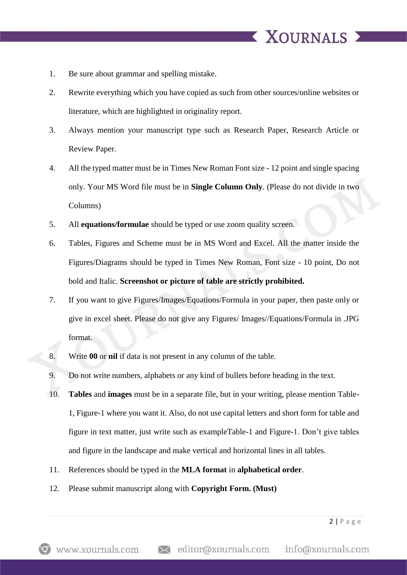- 1. Be sure about grammar and spelling mistake.
- 2. Rewrite everything which you have copied as such from other sources/online websites or literature, which are highlighted in originality report.

**XOURNALS** 

- 3. Always mention your manuscript type such as Research Paper, Research Article or Review Paper.
- 4. All the typed matter must be in Times New Roman Font size 12 point and single spacing only. Your MS Word file must be in **Single Column Only**. (Please do not divide in two Columns)
- 5. All **equations/formulae** should be typed or use zoom quality screen.
- 6. Tables, Figures and Scheme must be in MS Word and Excel. All the matter inside the Figures/Diagrams should be typed in Times New Roman, Font size - 10 point, Do not bold and Italic. **Screenshot or picture of table are strictly prohibited.**
- 7. If you want to give Figures/Images/Equations/Formula in your paper, then paste only or give in excel sheet. Please do not give any Figures/ Images//Equations/Formula in .JPG format.
- 8. Write **00** or **nil** if data is not present in any column of the table.
- 9. Do not write numbers, alphabets or any kind of bullets before heading in the text.
- 10. **Tables** and **images** must be in a separate file, but in your writing, please mention Table-1, Figure-1 where you want it. Also, do not use capital letters and short form for table and figure in text matter, just write such as exampleTable-1 and Figure-1. Don't give tables and figure in the landscape and make vertical and horizontal lines in all tables.
- 11. References should be typed in the **MLA format** in **alphabetical order**.
- 12. Please submit manuscript along with **Copyright Form. (Must)**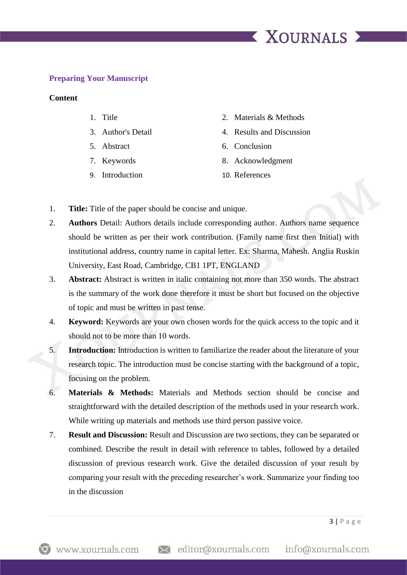## **X XOURNALS X**

#### **Preparing Your Manuscript**

#### **Content**

- 
- 
- 
- 
- 9. Introduction 10. References
- 1. Title 2. Materials & Methods
- 3. Author's Detail 4. Results and Discussion
- 5. Abstract 6. Conclusion
- 7. Keywords 8. Acknowledgment
	-
- 1. **Title:** Title of the paper should be concise and unique.
- 2. **Authors** Detail: Authors details include corresponding author. Authors name sequence should be written as per their work contribution. (Family name first then Initial) with institutional address, country name in capital letter. Ex: Sharma, Mahesh. Anglia Ruskin University, East Road, Cambridge, CB1 1PT, ENGLAND
- 3. **Abstract:** Abstract is written in italic containing not more than 350 words. The abstract is the summary of the work done therefore it must be short but focused on the objective of topic and must be written in past tense.
- 4. **Keyword:** Keywords are your own chosen words for the quick access to the topic and it should not to be more than 10 words.
- 5. **Introduction:** Introduction is written to familiarize the reader about the literature of your research topic. The introduction must be concise starting with the background of a topic, focusing on the problem.
- 6. **Materials & Methods:** Materials and Methods section should be concise and straightforward with the detailed description of the methods used in your research work. While writing up materials and methods use third person passive voice.
- 7. **Result and Discussion:** Result and Discussion are two sections, they can be separated or combined. Describe the result in detail with reference to tables, followed by a detailed discussion of previous research work. Give the detailed discussion of your result by comparing your result with the preceding researcher's work. Summarize your finding too in the discussion